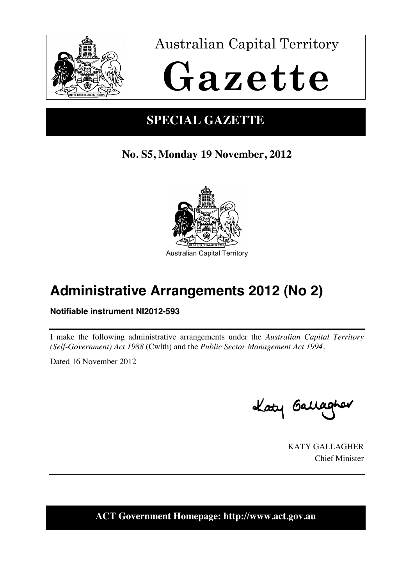

Australian Capital Territory

# **Gazette**

## **SPECIAL GAZETTE**

## **No. S5, Monday 19 November, 2012**



# **Administrative Arrangements 2012 (No 2)**

## **Notifiable instrument NI2012-593**

I make the following administrative arrangements under the *Australian Capital Territory (Self-Government) Act 1988* (Cwlth) and the *Public Sector Management Act 1994*.

Dated 16 November 2012

Katy Gallagher

KATY GALLAGHER Chief Minister

**ACT Government Homepage: http://www.act.gov.au**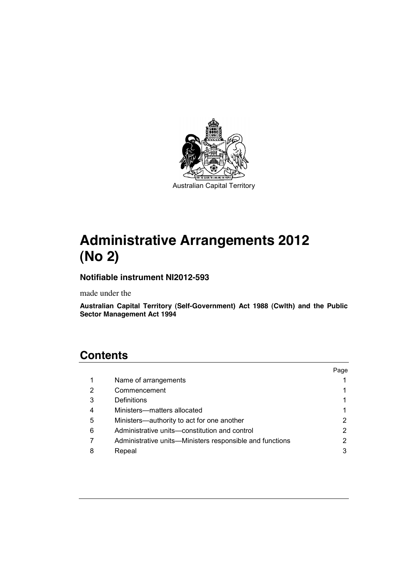

# **Administrative Arrangements 2012 (No 2)**

#### **Notifiable instrument NI2012-593**

made under the

**Australian Capital Territory (Self-Government) Act 1988 (Cwlth) and the Public Sector Management Act 1994**

## **Contents**

|   |                                                          | Page |
|---|----------------------------------------------------------|------|
|   | Name of arrangements                                     |      |
| 2 | Commencement                                             |      |
| 3 | Definitions                                              |      |
| 4 | Ministers-matters allocated                              |      |
| 5 | Ministers-authority to act for one another               |      |
| 6 | Administrative units—constitution and control            |      |
|   | Administrative units—Ministers responsible and functions |      |
| 8 | Repeal                                                   |      |
|   |                                                          |      |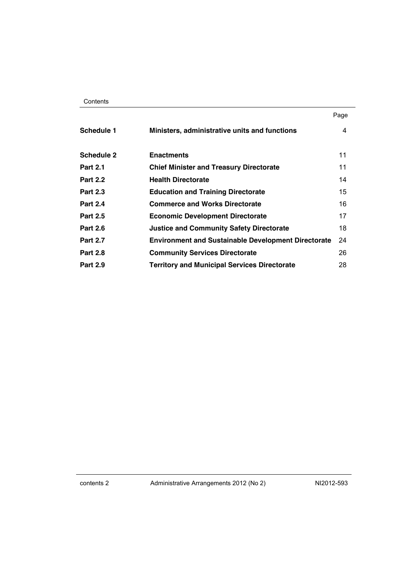|                   |                                                            | Page |
|-------------------|------------------------------------------------------------|------|
| Schedule 1        | Ministers, administrative units and functions              | 4    |
| <b>Schedule 2</b> | <b>Enactments</b>                                          | 11   |
| <b>Part 2.1</b>   | <b>Chief Minister and Treasury Directorate</b>             | 11   |
| <b>Part 2.2</b>   | <b>Health Directorate</b>                                  | 14   |
| <b>Part 2.3</b>   | <b>Education and Training Directorate</b>                  | 15   |
| <b>Part 2.4</b>   | <b>Commerce and Works Directorate</b>                      | 16   |
| <b>Part 2.5</b>   | <b>Economic Development Directorate</b>                    | 17   |
| <b>Part 2.6</b>   | <b>Justice and Community Safety Directorate</b>            | 18   |
| <b>Part 2.7</b>   | <b>Environment and Sustainable Development Directorate</b> | 24   |
| <b>Part 2.8</b>   | <b>Community Services Directorate</b>                      | 26   |
| <b>Part 2.9</b>   | <b>Territory and Municipal Services Directorate</b>        | 28   |

contents 2 Administrative Arrangements 2012 (No 2) NI2012-593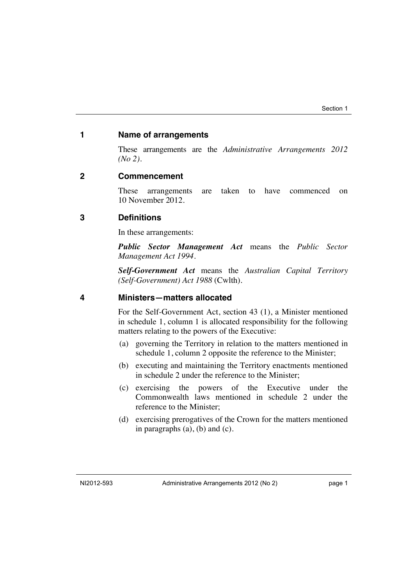#### <span id="page-3-0"></span>**1 Name of arrangements**

These arrangements are the *Administrative Arrangements 2012 (No 2)*.

#### <span id="page-3-1"></span>**2 Commencement**

These arrangements are taken to have commenced on 10 November 2012.

#### <span id="page-3-2"></span>**3 Definitions**

In these arrangements:

*Public Sector Management Act* means the *Public Sector Management Act 1994*.

*Self-Government Act* means the *Australian Capital Territory (Self-Government) Act 1988* (Cwlth).

#### <span id="page-3-3"></span>**4 Ministers—matters allocated**

For the Self-Government Act, section 43 (1), a Minister mentioned in schedule 1, column 1 is allocated responsibility for the following matters relating to the powers of the Executive:

- (a) governing the Territory in relation to the matters mentioned in schedule 1, column 2 opposite the reference to the Minister;
- (b) executing and maintaining the Territory enactments mentioned in schedule 2 under the reference to the Minister;
- (c) exercising the powers of the Executive under the Commonwealth laws mentioned in schedule 2 under the reference to the Minister;
- (d) exercising prerogatives of the Crown for the matters mentioned in paragraphs (a), (b) and (c).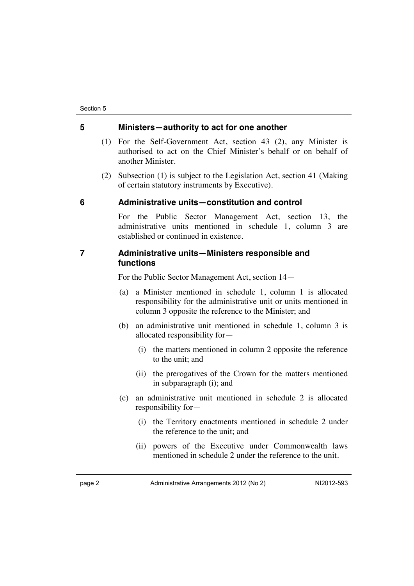#### <span id="page-4-0"></span>**5 Ministers—authority to act for one another**

- (1) For the Self-Government Act, section 43 (2), any Minister is authorised to act on the Chief Minister's behalf or on behalf of another Minister.
- (2) Subsection (1) is subject to the Legislation Act, section 41 (Making of certain statutory instruments by Executive).

#### <span id="page-4-1"></span>**6 Administrative units—constitution and control**

For the Public Sector Management Act, section 13, the administrative units mentioned in schedule 1, column 3 are established or continued in existence.

#### <span id="page-4-2"></span>**7 Administrative units—Ministers responsible and functions**

For the Public Sector Management Act, section 14—

- (a) a Minister mentioned in schedule 1, column 1 is allocated responsibility for the administrative unit or units mentioned in column 3 opposite the reference to the Minister; and
- (b) an administrative unit mentioned in schedule 1, column 3 is allocated responsibility for—
	- (i) the matters mentioned in column 2 opposite the reference to the unit; and
	- (ii) the prerogatives of the Crown for the matters mentioned in subparagraph (i); and
- (c) an administrative unit mentioned in schedule 2 is allocated responsibility for—
	- (i) the Territory enactments mentioned in schedule 2 under the reference to the unit; and
	- (ii) powers of the Executive under Commonwealth laws mentioned in schedule 2 under the reference to the unit.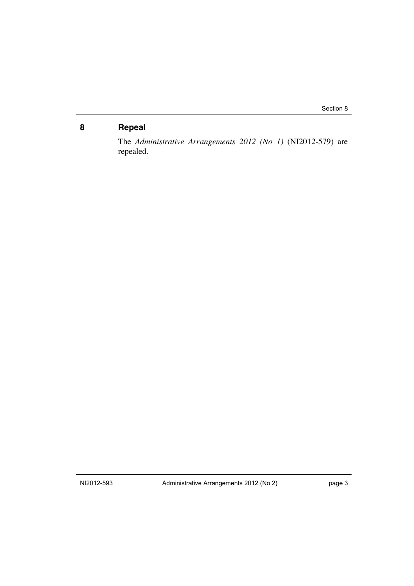## <span id="page-5-0"></span>**8 Repeal**

The *Administrative Arrangements 2012 (No 1)* (NI2012-579) are repealed.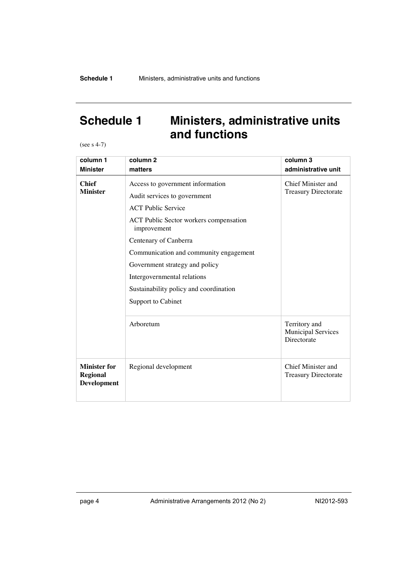## <span id="page-6-0"></span>**Schedule 1 Ministers, administrative units and functions**

(see s 4-7)

| column 1                                       | column <sub>2</sub>                                              | column 3                                                  |
|------------------------------------------------|------------------------------------------------------------------|-----------------------------------------------------------|
| <b>Minister</b>                                | matters                                                          | administrative unit                                       |
| <b>Chief</b><br><b>Minister</b>                | Access to government information<br>Audit services to government | Chief Minister and<br><b>Treasury Directorate</b>         |
|                                                |                                                                  |                                                           |
|                                                | <b>ACT</b> Public Service                                        |                                                           |
|                                                | <b>ACT Public Sector workers compensation</b><br>improvement     |                                                           |
|                                                | Centenary of Canberra                                            |                                                           |
|                                                | Communication and community engagement                           |                                                           |
|                                                | Government strategy and policy                                   |                                                           |
|                                                | Intergovernmental relations                                      |                                                           |
|                                                | Sustainability policy and coordination                           |                                                           |
|                                                | Support to Cabinet                                               |                                                           |
|                                                |                                                                  |                                                           |
|                                                | Arboretum                                                        | Territory and<br><b>Municipal Services</b><br>Directorate |
| <b>Minister for</b><br>Regional<br>Development | Regional development                                             | Chief Minister and<br><b>Treasury Directorate</b>         |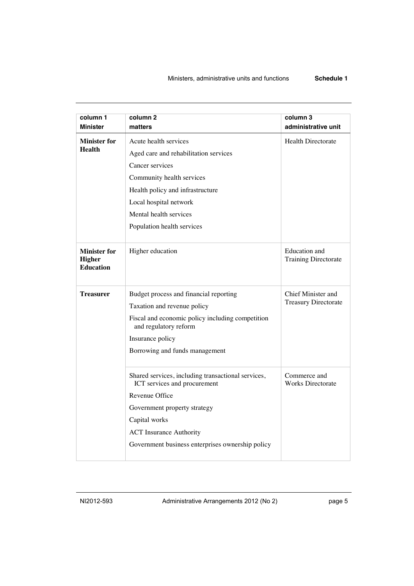| column 1<br><b>Minister</b>                              | column <sub>2</sub><br>matters                                                     | column 3<br>administrative unit              |
|----------------------------------------------------------|------------------------------------------------------------------------------------|----------------------------------------------|
| <b>Minister for</b>                                      | Acute health services                                                              | <b>Health Directorate</b>                    |
| <b>Health</b>                                            | Aged care and rehabilitation services                                              |                                              |
|                                                          | Cancer services                                                                    |                                              |
|                                                          | Community health services                                                          |                                              |
|                                                          | Health policy and infrastructure                                                   |                                              |
|                                                          | Local hospital network                                                             |                                              |
|                                                          | Mental health services                                                             |                                              |
|                                                          | Population health services                                                         |                                              |
|                                                          |                                                                                    |                                              |
| <b>Minister for</b><br><b>Higher</b><br><b>Education</b> | Higher education                                                                   | Education and<br><b>Training Directorate</b> |
| <b>Treasurer</b>                                         | Budget process and financial reporting                                             | Chief Minister and                           |
|                                                          | Taxation and revenue policy                                                        | <b>Treasury Directorate</b>                  |
|                                                          | Fiscal and economic policy including competition<br>and regulatory reform          |                                              |
|                                                          | Insurance policy                                                                   |                                              |
|                                                          | Borrowing and funds management                                                     |                                              |
|                                                          | Shared services, including transactional services,<br>ICT services and procurement | Commerce and<br><b>Works Directorate</b>     |
|                                                          | Revenue Office                                                                     |                                              |
|                                                          | Government property strategy                                                       |                                              |
|                                                          | Capital works                                                                      |                                              |
|                                                          | <b>ACT</b> Insurance Authority                                                     |                                              |
|                                                          | Government business enterprises ownership policy                                   |                                              |
|                                                          |                                                                                    |                                              |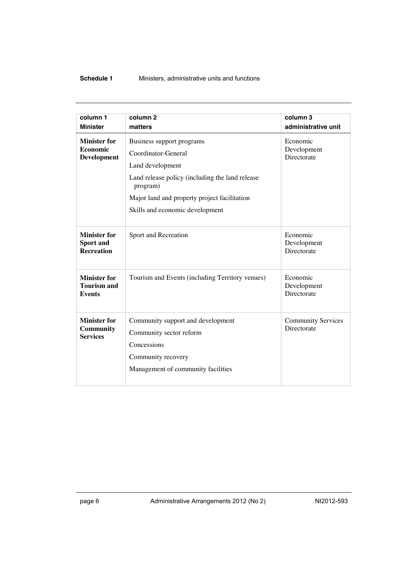#### **Schedule 1** Ministers, administrative units and functions

| column 1                                                   | column <sub>2</sub>                                                                                                                                                                                                    | column 3                                 |
|------------------------------------------------------------|------------------------------------------------------------------------------------------------------------------------------------------------------------------------------------------------------------------------|------------------------------------------|
| <b>Minister</b>                                            | matters                                                                                                                                                                                                                | administrative unit                      |
| <b>Minister for</b><br>Economic<br><b>Development</b>      | Business support programs<br>Coordinator-General<br>Land development<br>Land release policy (including the land release<br>program)<br>Major land and property project facilitation<br>Skills and economic development | Economic<br>Development<br>Directorate   |
| <b>Minister for</b><br>Sport and<br><b>Recreation</b>      | Sport and Recreation                                                                                                                                                                                                   | Economic<br>Development<br>Directorate   |
| <b>Minister for</b><br><b>Tourism and</b><br><b>Events</b> | Tourism and Events (including Territory venues)                                                                                                                                                                        | Economic<br>Development<br>Directorate   |
| <b>Minister for</b><br>Community<br><b>Services</b>        | Community support and development<br>Community sector reform<br>Concessions<br>Community recovery<br>Management of community facilities                                                                                | <b>Community Services</b><br>Directorate |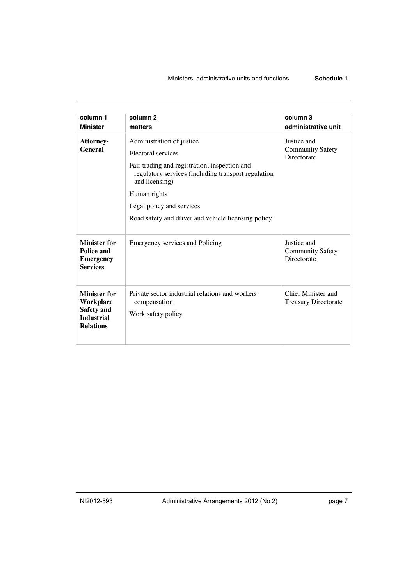#### Ministers, administrative units and functions **Schedule 1**

| column 1<br><b>Minister</b>                                                             | column <sub>2</sub><br>matters                                                                                                                                                                                                                                                | column 3<br>administrative unit                       |
|-----------------------------------------------------------------------------------------|-------------------------------------------------------------------------------------------------------------------------------------------------------------------------------------------------------------------------------------------------------------------------------|-------------------------------------------------------|
| Attorney-<br><b>General</b>                                                             | Administration of justice<br>Electoral services<br>Fair trading and registration, inspection and<br>regulatory services (including transport regulation<br>and licensing)<br>Human rights<br>Legal policy and services<br>Road safety and driver and vehicle licensing policy | Justice and<br><b>Community Safety</b><br>Directorate |
| <b>Minister for</b><br><b>Police and</b><br><b>Emergency</b><br><b>Services</b>         | Emergency services and Policing                                                                                                                                                                                                                                               | Justice and<br><b>Community Safety</b><br>Directorate |
| <b>Minister for</b><br>Workplace<br>Safety and<br><b>Industrial</b><br><b>Relations</b> | Private sector industrial relations and workers<br>compensation<br>Work safety policy                                                                                                                                                                                         | Chief Minister and<br><b>Treasury Directorate</b>     |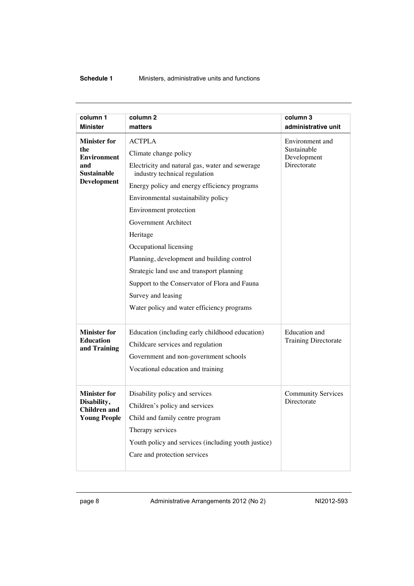#### **Schedule 1** Ministers, administrative units and functions

| column 1<br><b>Minister</b>                                                                         | column <sub>2</sub><br>matters                                                                                                                                                                                                                                                                                                                                                                       | column 3<br>administrative unit                              |
|-----------------------------------------------------------------------------------------------------|------------------------------------------------------------------------------------------------------------------------------------------------------------------------------------------------------------------------------------------------------------------------------------------------------------------------------------------------------------------------------------------------------|--------------------------------------------------------------|
| <b>Minister for</b><br>the<br><b>Environment</b><br>and<br><b>Sustainable</b><br><b>Development</b> | <b>ACTPLA</b><br>Climate change policy<br>Electricity and natural gas, water and sewerage<br>industry technical regulation<br>Energy policy and energy efficiency programs<br>Environmental sustainability policy<br>Environment protection<br>Government Architect<br>Heritage<br>Occupational licensing<br>Planning, development and building control<br>Strategic land use and transport planning | Environment and<br>Sustainable<br>Development<br>Directorate |
|                                                                                                     | Support to the Conservator of Flora and Fauna<br>Survey and leasing<br>Water policy and water efficiency programs                                                                                                                                                                                                                                                                                    |                                                              |
| <b>Minister for</b><br><b>Education</b><br>and Training                                             | Education (including early childhood education)<br>Childcare services and regulation<br>Government and non-government schools<br>Vocational education and training                                                                                                                                                                                                                                   | Education and<br><b>Training Directorate</b>                 |
| <b>Minister for</b><br>Disability,<br><b>Children and</b><br><b>Young People</b>                    | Disability policy and services<br>Children's policy and services<br>Child and family centre program<br>Therapy services<br>Youth policy and services (including youth justice)<br>Care and protection services                                                                                                                                                                                       | <b>Community Services</b><br>Directorate                     |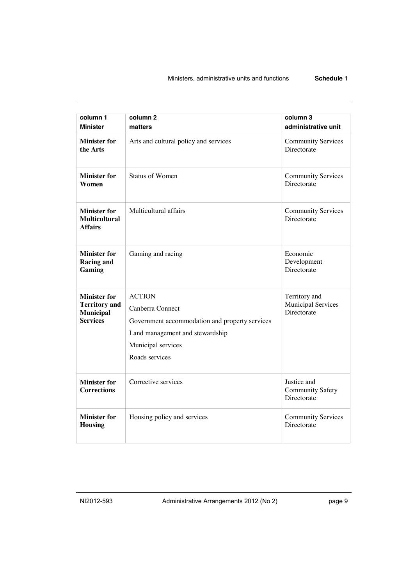#### Ministers, administrative units and functions **Schedule 1**

| column 1<br><b>Minister</b>                                                        | column <sub>2</sub><br>matters                                                                                                                                 | column 3<br>administrative unit                           |
|------------------------------------------------------------------------------------|----------------------------------------------------------------------------------------------------------------------------------------------------------------|-----------------------------------------------------------|
| <b>Minister for</b><br>the Arts                                                    | Arts and cultural policy and services                                                                                                                          | <b>Community Services</b><br>Directorate                  |
| <b>Minister for</b><br>Women                                                       | <b>Status of Women</b>                                                                                                                                         | <b>Community Services</b><br>Directorate                  |
| <b>Minister for</b><br><b>Multicultural</b><br><b>Affairs</b>                      | Multicultural affairs                                                                                                                                          | <b>Community Services</b><br>Directorate                  |
| <b>Minister for</b><br><b>Racing and</b><br>Gaming                                 | Gaming and racing                                                                                                                                              | Economic<br>Development<br>Directorate                    |
| <b>Minister for</b><br><b>Territory</b> and<br><b>Municipal</b><br><b>Services</b> | <b>ACTION</b><br>Canberra Connect<br>Government accommodation and property services<br>Land management and stewardship<br>Municipal services<br>Roads services | Territory and<br><b>Municipal Services</b><br>Directorate |
| <b>Minister for</b><br><b>Corrections</b>                                          | Corrective services                                                                                                                                            | Justice and<br><b>Community Safety</b><br>Directorate     |
| <b>Minister for</b><br><b>Housing</b>                                              | Housing policy and services                                                                                                                                    | <b>Community Services</b><br>Directorate                  |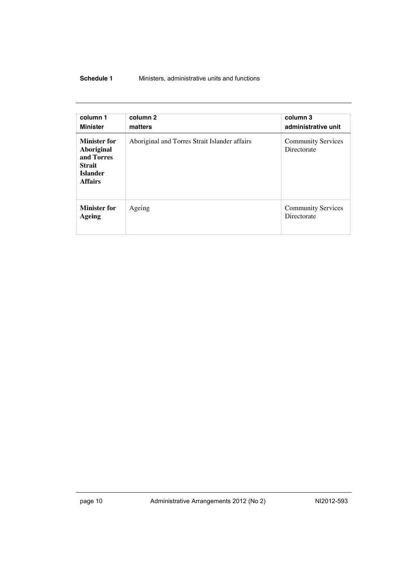#### **Schedule 1** Ministers, administrative units and functions

| column 1<br><b>Minister</b>                                                                           | column 2<br>matters                           | column 3<br>administrative unit          |
|-------------------------------------------------------------------------------------------------------|-----------------------------------------------|------------------------------------------|
| <b>Minister for</b><br>Aboriginal<br>and Torres<br><b>Strait</b><br><b>Islander</b><br><b>Affairs</b> | Aboriginal and Torres Strait Islander affairs | <b>Community Services</b><br>Directorate |
| <b>Minister for</b><br><b>Ageing</b>                                                                  | Ageing                                        | <b>Community Services</b><br>Directorate |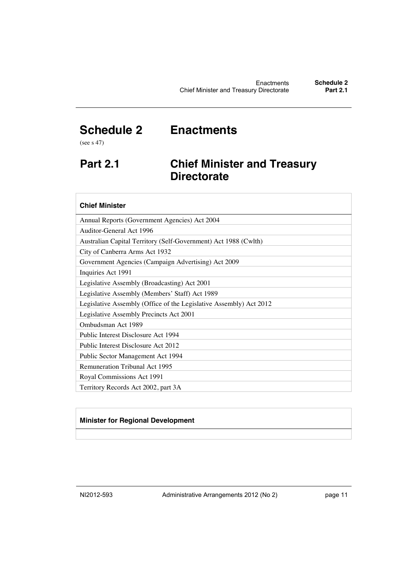## <span id="page-13-0"></span>**Schedule 2 Enactments**

(see s 47)

## <span id="page-13-1"></span>**Part 2.1 Chief Minister and Treasury Directorate**

| <b>Chief Minister</b>                                              |
|--------------------------------------------------------------------|
| Annual Reports (Government Agencies) Act 2004                      |
| Auditor-General Act 1996                                           |
| Australian Capital Territory (Self-Government) Act 1988 (Cwlth)    |
| City of Canberra Arms Act 1932                                     |
| Government Agencies (Campaign Advertising) Act 2009                |
| Inquiries Act 1991                                                 |
| Legislative Assembly (Broadcasting) Act 2001                       |
| Legislative Assembly (Members' Staff) Act 1989                     |
| Legislative Assembly (Office of the Legislative Assembly) Act 2012 |
| Legislative Assembly Precincts Act 2001                            |
| Ombudsman Act 1989                                                 |
| Public Interest Disclosure Act 1994                                |
| Public Interest Disclosure Act 2012                                |
| Public Sector Management Act 1994                                  |
| <b>Remuneration Tribunal Act 1995</b>                              |
| Royal Commissions Act 1991                                         |
| Territory Records Act 2002, part 3A                                |

#### **Minister for Regional Development**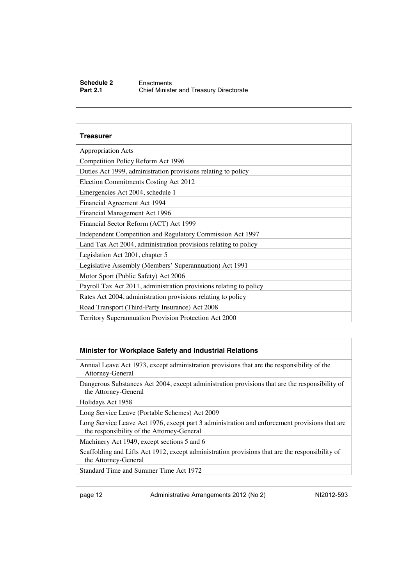#### **Schedule 2** Enactments<br> **Part 2.1** Chief Ministe **Chief Minister and Treasury Directorate**

#### **Treasurer**

| <b>Appropriation Acts</b>                                          |  |  |
|--------------------------------------------------------------------|--|--|
| Competition Policy Reform Act 1996                                 |  |  |
| Duties Act 1999, administration provisions relating to policy      |  |  |
| Election Commitments Costing Act 2012                              |  |  |
| Emergencies Act 2004, schedule 1                                   |  |  |
| Financial Agreement Act 1994                                       |  |  |
| Financial Management Act 1996                                      |  |  |
| Financial Sector Reform (ACT) Act 1999                             |  |  |
| Independent Competition and Regulatory Commission Act 1997         |  |  |
| Land Tax Act 2004, administration provisions relating to policy    |  |  |
| Legislation Act 2001, chapter 5                                    |  |  |
| Legislative Assembly (Members' Superannuation) Act 1991            |  |  |
| Motor Sport (Public Safety) Act 2006                               |  |  |
| Payroll Tax Act 2011, administration provisions relating to policy |  |  |
| Rates Act 2004, administration provisions relating to policy       |  |  |
| Road Transport (Third-Party Insurance) Act 2008                    |  |  |
| Territory Superannuation Provision Protection Act 2000             |  |  |

#### **Minister for Workplace Safety and Industrial Relations**

Annual Leave Act 1973, except administration provisions that are the responsibility of the Attorney-General

Dangerous Substances Act 2004, except administration provisions that are the responsibility of the Attorney-General

Holidays Act 1958

Long Service Leave (Portable Schemes) Act 2009

Long Service Leave Act 1976, except part 3 administration and enforcement provisions that are the responsibility of the Attorney-General

Machinery Act 1949, except sections 5 and 6

Scaffolding and Lifts Act 1912, except administration provisions that are the responsibility of the Attorney-General

Standard Time and Summer Time Act 1972

page 12 **Administrative Arrangements 2012 (No 2)** NI2012-593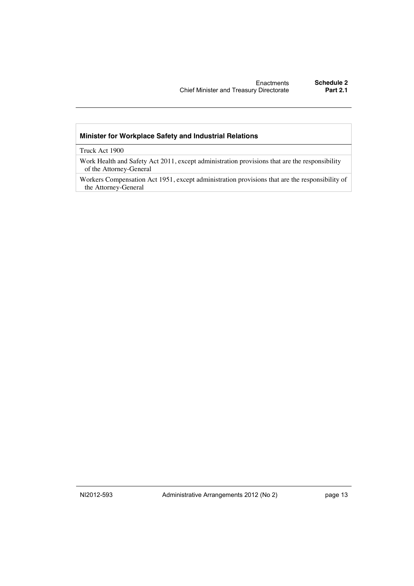#### **Minister for Workplace Safety and Industrial Relations**

Truck Act 1900

Work Health and Safety Act 2011, except administration provisions that are the responsibility of the Attorney-General

Workers Compensation Act 1951, except administration provisions that are the responsibility of the Attorney-General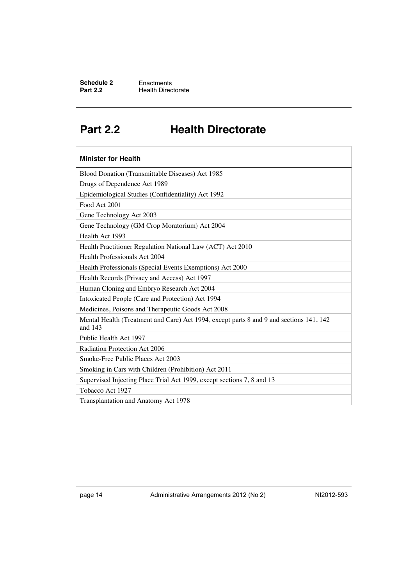**Schedule 2** Enactments<br> **Part 2.2** Health Direc **Health Directorate** 

## <span id="page-16-0"></span>**Part 2.2 Health Directorate**

| <b>Minister for Health</b>                                                                         |
|----------------------------------------------------------------------------------------------------|
| Blood Donation (Transmittable Diseases) Act 1985                                                   |
| Drugs of Dependence Act 1989                                                                       |
| Epidemiological Studies (Confidentiality) Act 1992                                                 |
| Food Act 2001                                                                                      |
| Gene Technology Act 2003                                                                           |
| Gene Technology (GM Crop Moratorium) Act 2004                                                      |
| Health Act 1993                                                                                    |
| Health Practitioner Regulation National Law (ACT) Act 2010                                         |
| Health Professionals Act 2004                                                                      |
| Health Professionals (Special Events Exemptions) Act 2000                                          |
| Health Records (Privacy and Access) Act 1997                                                       |
| Human Cloning and Embryo Research Act 2004                                                         |
| Intoxicated People (Care and Protection) Act 1994                                                  |
| Medicines, Poisons and Therapeutic Goods Act 2008                                                  |
| Mental Health (Treatment and Care) Act 1994, except parts 8 and 9 and sections 141, 142<br>and 143 |
| Public Health Act 1997                                                                             |
| Radiation Protection Act 2006                                                                      |
| Smoke-Free Public Places Act 2003                                                                  |
| Smoking in Cars with Children (Prohibition) Act 2011                                               |
| Supervised Injecting Place Trial Act 1999, except sections 7, 8 and 13                             |
| Tobacco Act 1927                                                                                   |
| Transplantation and Anatomy Act 1978                                                               |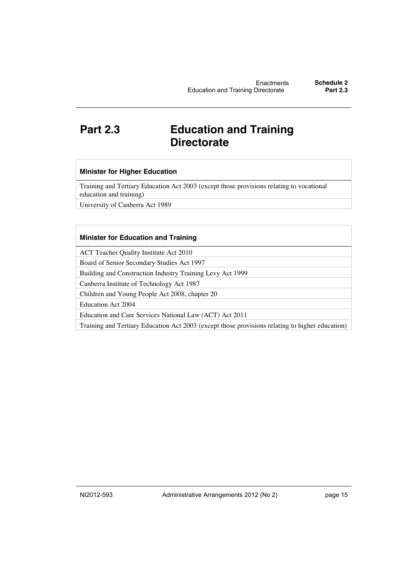## <span id="page-17-0"></span>**Part 2.3 Education and Training Directorate**

#### **Minister for Higher Education**

Training and Tertiary Education Act 2003 (except those provisions relating to vocational education and training)

University of Canberra Act 1989

#### **Minister for Education and Training**

ACT Teacher Quality Institute Act 2010

Board of Senior Secondary Studies Act 1997

Building and Construction Industry Training Levy Act 1999

Canberra Institute of Technology Act 1987

Children and Young People Act 2008, chapter 20

Education Act 2004

Education and Care Services National Law (ACT) Act 2011

Training and Tertiary Education Act 2003 (except those provisions relating to higher education)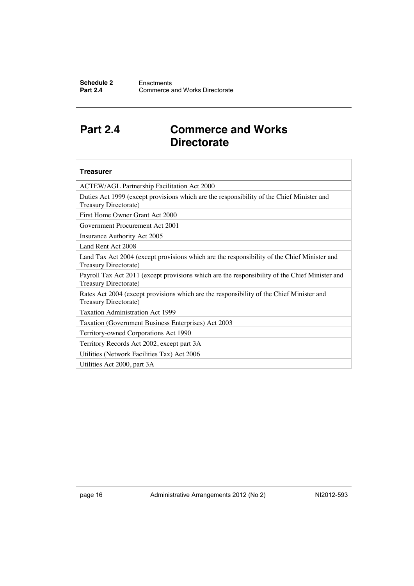## <span id="page-18-0"></span>**Part 2.4 Commerce and Works Directorate**

#### **Treasurer**

ACTEW/AGL Partnership Facilitation Act 2000

Duties Act 1999 (except provisions which are the responsibility of the Chief Minister and Treasury Directorate)

First Home Owner Grant Act 2000

Government Procurement Act 2001

Insurance Authority Act 2005

Land Rent Act 2008

Land Tax Act 2004 (except provisions which are the responsibility of the Chief Minister and Treasury Directorate)

Payroll Tax Act 2011 (except provisions which are the responsibility of the Chief Minister and Treasury Directorate)

Rates Act 2004 (except provisions which are the responsibility of the Chief Minister and Treasury Directorate)

Taxation Administration Act 1999

Taxation (Government Business Enterprises) Act 2003

Territory-owned Corporations Act 1990

Territory Records Act 2002, except part 3A

Utilities (Network Facilities Tax) Act 2006

Utilities Act 2000, part 3A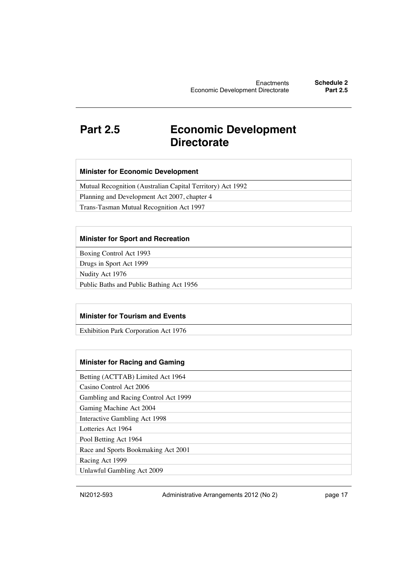## <span id="page-19-0"></span>**Part 2.5 Economic Development Directorate**

|  |  |  | <b>Minister for Economic Development</b> |
|--|--|--|------------------------------------------|
|--|--|--|------------------------------------------|

Mutual Recognition (Australian Capital Territory) Act 1992

Planning and Development Act 2007, chapter 4

Trans-Tasman Mutual Recognition Act 1997

#### **Minister for Sport and Recreation**

Boxing Control Act 1993

Drugs in Sport Act 1999

Nudity Act 1976

Public Baths and Public Bathing Act 1956

#### **Minister for Tourism and Events**

Exhibition Park Corporation Act 1976

#### **Minister for Racing and Gaming**

Betting (ACTTAB) Limited Act 1964

Casino Control Act 2006

Gambling and Racing Control Act 1999

Gaming Machine Act 2004

Interactive Gambling Act 1998

Lotteries Act 1964

Pool Betting Act 1964 Race and Sports Bookmaking Act 2001

Racing Act 1999

Unlawful Gambling Act 2009

NI2012-593 Administrative Arrangements 2012 (No 2) page 17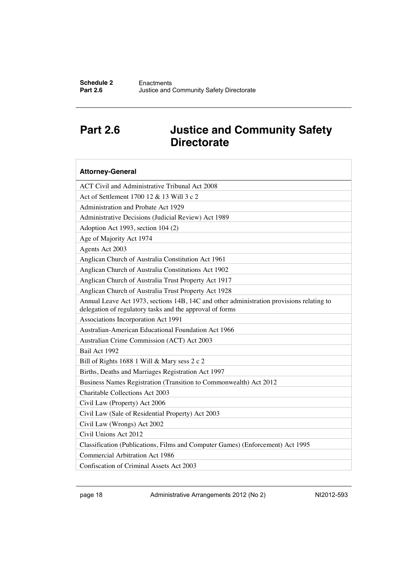## <span id="page-20-0"></span>**Part 2.6 Justice and Community Safety Directorate**

| <b>Attorney-General</b>                                                                                                                              |
|------------------------------------------------------------------------------------------------------------------------------------------------------|
| ACT Civil and Administrative Tribunal Act 2008                                                                                                       |
| Act of Settlement 1700 12 & 13 Will 3 c 2                                                                                                            |
| Administration and Probate Act 1929                                                                                                                  |
| Administrative Decisions (Judicial Review) Act 1989                                                                                                  |
| Adoption Act 1993, section 104 (2)                                                                                                                   |
| Age of Majority Act 1974                                                                                                                             |
| Agents Act 2003                                                                                                                                      |
| Anglican Church of Australia Constitution Act 1961                                                                                                   |
| Anglican Church of Australia Constitutions Act 1902                                                                                                  |
| Anglican Church of Australia Trust Property Act 1917                                                                                                 |
| Anglican Church of Australia Trust Property Act 1928                                                                                                 |
| Annual Leave Act 1973, sections 14B, 14C and other administration provisions relating to<br>delegation of regulatory tasks and the approval of forms |
| Associations Incorporation Act 1991                                                                                                                  |
| <b>Australian-American Educational Foundation Act 1966</b>                                                                                           |
| Australian Crime Commission (ACT) Act 2003                                                                                                           |
| Bail Act 1992                                                                                                                                        |
| Bill of Rights 1688 1 Will & Mary sess 2 c 2                                                                                                         |
| Births, Deaths and Marriages Registration Act 1997                                                                                                   |
| Business Names Registration (Transition to Commonwealth) Act 2012                                                                                    |
| Charitable Collections Act 2003                                                                                                                      |
| Civil Law (Property) Act 2006                                                                                                                        |
| Civil Law (Sale of Residential Property) Act 2003                                                                                                    |
| Civil Law (Wrongs) Act 2002                                                                                                                          |
| Civil Unions Act 2012                                                                                                                                |
| Classification (Publications, Films and Computer Games) (Enforcement) Act 1995                                                                       |
| Commercial Arbitration Act 1986                                                                                                                      |
| Confiscation of Criminal Assets Act 2003                                                                                                             |

page 18 Administrative Arrangements 2012 (No 2) NI2012-593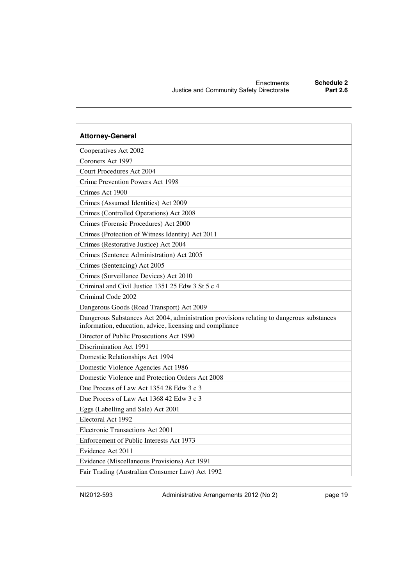| <b>Attorney-General</b>                                                                                                                               |
|-------------------------------------------------------------------------------------------------------------------------------------------------------|
| Cooperatives Act 2002                                                                                                                                 |
| Coroners Act 1997                                                                                                                                     |
| Court Procedures Act 2004                                                                                                                             |
| Crime Prevention Powers Act 1998                                                                                                                      |
| Crimes Act 1900                                                                                                                                       |
| Crimes (Assumed Identities) Act 2009                                                                                                                  |
| Crimes (Controlled Operations) Act 2008                                                                                                               |
| Crimes (Forensic Procedures) Act 2000                                                                                                                 |
| Crimes (Protection of Witness Identity) Act 2011                                                                                                      |
| Crimes (Restorative Justice) Act 2004                                                                                                                 |
| Crimes (Sentence Administration) Act 2005                                                                                                             |
| Crimes (Sentencing) Act 2005                                                                                                                          |
| Crimes (Surveillance Devices) Act 2010                                                                                                                |
| Criminal and Civil Justice 1351 25 Edw 3 St 5 c 4                                                                                                     |
| Criminal Code 2002                                                                                                                                    |
| Dangerous Goods (Road Transport) Act 2009                                                                                                             |
| Dangerous Substances Act 2004, administration provisions relating to dangerous substances<br>information, education, advice, licensing and compliance |
| Director of Public Prosecutions Act 1990                                                                                                              |
| Discrimination Act 1991                                                                                                                               |
| Domestic Relationships Act 1994                                                                                                                       |
| Domestic Violence Agencies Act 1986                                                                                                                   |
| Domestic Violence and Protection Orders Act 2008                                                                                                      |
| Due Process of Law Act 1354 28 Edw 3 c 3                                                                                                              |
| Due Process of Law Act 1368 42 Edw 3 c 3                                                                                                              |
| Eggs (Labelling and Sale) Act 2001                                                                                                                    |
| Electoral Act 1992                                                                                                                                    |
| Electronic Transactions Act 2001                                                                                                                      |
| Enforcement of Public Interests Act 1973                                                                                                              |
| Evidence Act 2011                                                                                                                                     |
| Evidence (Miscellaneous Provisions) Act 1991                                                                                                          |
| Fair Trading (Australian Consumer Law) Act 1992                                                                                                       |

NI2012-593 Administrative Arrangements 2012 (No 2) page 19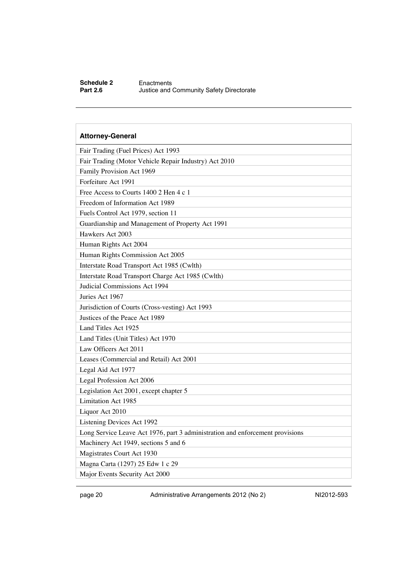#### **Schedule 2** Enactments<br>**Part 2.6** Justice and **Justice and Community Safety Directorate**

### **Attorney-General** Fair Trading (Fuel Prices) Act 1993 Fair Trading (Motor Vehicle Repair Industry) Act 2010 Family Provision Act 1969 Forfeiture Act 1991 Free Access to Courts 1400 2 Hen 4 c 1 Freedom of Information Act 1989 Fuels Control Act 1979, section 11 Guardianship and Management of Property Act 1991 Hawkers Act 2003 Human Rights Act 2004 Human Rights Commission Act 2005 Interstate Road Transport Act 1985 (Cwlth) Interstate Road Transport Charge Act 1985 (Cwlth) Judicial Commissions Act 1994 Juries Act 1967 Jurisdiction of Courts (Cross-vesting) Act 1993 Justices of the Peace Act 1989 Land Titles Act 1925 Land Titles (Unit Titles) Act 1970 Law Officers Act 2011 Leases (Commercial and Retail) Act 2001 Legal Aid Act 1977 Legal Profession Act 2006 Legislation Act 2001, except chapter 5 Limitation Act 1985 Liquor Act 2010 Listening Devices Act 1992 Long Service Leave Act 1976, part 3 administration and enforcement provisions Machinery Act 1949, sections 5 and 6 Magistrates Court Act 1930 Magna Carta (1297) 25 Edw 1 c 29 Major Events Security Act 2000

page 20 Administrative Arrangements 2012 (No 2) NI2012-593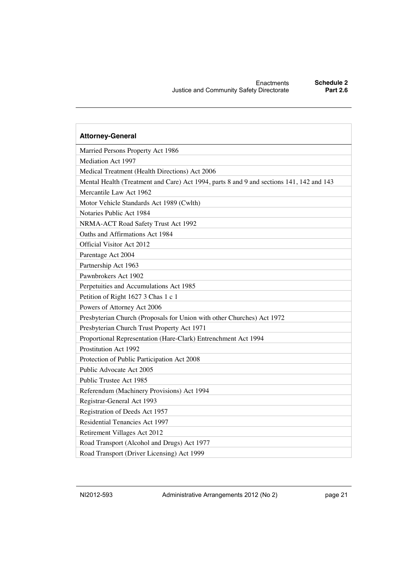| <b>Attorney-General</b>                                                                  |
|------------------------------------------------------------------------------------------|
| Married Persons Property Act 1986                                                        |
| Mediation Act 1997                                                                       |
| Medical Treatment (Health Directions) Act 2006                                           |
| Mental Health (Treatment and Care) Act 1994, parts 8 and 9 and sections 141, 142 and 143 |
| Mercantile Law Act 1962                                                                  |
| Motor Vehicle Standards Act 1989 (Cwlth)                                                 |
| Notaries Public Act 1984                                                                 |
| NRMA-ACT Road Safety Trust Act 1992                                                      |
| Oaths and Affirmations Act 1984                                                          |
| Official Visitor Act 2012                                                                |
| Parentage Act 2004                                                                       |
| Partnership Act 1963                                                                     |
| Pawnbrokers Act 1902                                                                     |
| Perpetuities and Accumulations Act 1985                                                  |
| Petition of Right 1627 3 Chas 1 c 1                                                      |
| Powers of Attorney Act 2006                                                              |
| Presbyterian Church (Proposals for Union with other Churches) Act 1972                   |
| Presbyterian Church Trust Property Act 1971                                              |
| Proportional Representation (Hare-Clark) Entrenchment Act 1994                           |
| Prostitution Act 1992                                                                    |
| Protection of Public Participation Act 2008                                              |
| Public Advocate Act 2005                                                                 |
| Public Trustee Act 1985                                                                  |
| Referendum (Machinery Provisions) Act 1994                                               |
| Registrar-General Act 1993                                                               |
| Registration of Deeds Act 1957                                                           |
| Residential Tenancies Act 1997                                                           |
| Retirement Villages Act 2012                                                             |
| Road Transport (Alcohol and Drugs) Act 1977                                              |
| Road Transport (Driver Licensing) Act 1999                                               |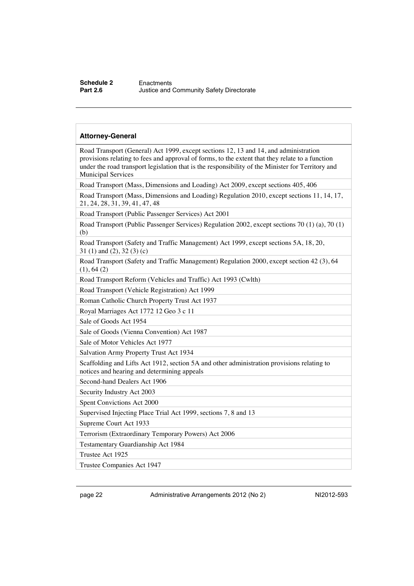#### **Schedule 2** Enactments<br> **Part 2.6** Justice and **Justice and Community Safety Directorate**

#### **Attorney-General**

Road Transport (General) Act 1999, except sections 12, 13 and 14, and administration provisions relating to fees and approval of forms, to the extent that they relate to a function under the road transport legislation that is the responsibility of the Minister for Territory and Municipal Services

Road Transport (Mass, Dimensions and Loading) Act 2009, except sections 405, 406

Road Transport (Mass, Dimensions and Loading) Regulation 2010, except sections 11, 14, 17, 21, 24, 28, 31, 39, 41, 47, 48

Road Transport (Public Passenger Services) Act 2001

Road Transport (Public Passenger Services) Regulation 2002, except sections 70 (1) (a), 70 (1) (b)

Road Transport (Safety and Traffic Management) Act 1999, except sections 5A, 18, 20, 31 (1) and (2), 32 (3) (c)

Road Transport (Safety and Traffic Management) Regulation 2000, except section 42 (3), 64 (1), 64 (2)

Road Transport Reform (Vehicles and Traffic) Act 1993 (Cwlth)

Road Transport (Vehicle Registration) Act 1999

Roman Catholic Church Property Trust Act 1937

Royal Marriages Act 1772 12 Geo 3 c 11

Sale of Goods Act 1954

Sale of Goods (Vienna Convention) Act 1987

Sale of Motor Vehicles Act 1977

Salvation Army Property Trust Act 1934

Scaffolding and Lifts Act 1912, section 5A and other administration provisions relating to notices and hearing and determining appeals

Second-hand Dealers Act 1906

Security Industry Act 2003

Spent Convictions Act 2000

Supervised Injecting Place Trial Act 1999, sections 7, 8 and 13

Supreme Court Act 1933

Terrorism (Extraordinary Temporary Powers) Act 2006

Testamentary Guardianship Act 1984

Trustee Act 1925

Trustee Companies Act 1947

page 22 Administrative Arrangements 2012 (No 2) NI2012-593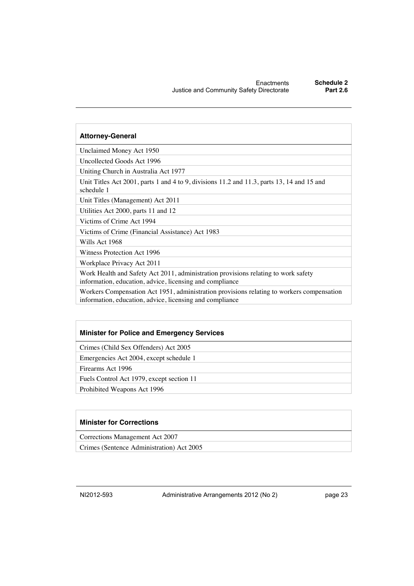#### **Attorney-General**

Unclaimed Money Act 1950

Uncollected Goods Act 1996

Uniting Church in Australia Act 1977

Unit Titles Act 2001, parts 1 and 4 to 9, divisions 11.2 and 11.3, parts 13, 14 and 15 and schedule 1

Unit Titles (Management) Act 2011

Utilities Act 2000, parts 11 and 12

Victims of Crime Act 1994

Victims of Crime (Financial Assistance) Act 1983

Wills Act 1968

Witness Protection Act 1996

Workplace Privacy Act 2011

Work Health and Safety Act 2011, administration provisions relating to work safety information, education, advice, licensing and compliance

Workers Compensation Act 1951, administration provisions relating to workers compensation information, education, advice, licensing and compliance

#### **Minister for Police and Emergency Services**

Crimes (Child Sex Offenders) Act 2005

Emergencies Act 2004, except schedule 1

Firearms Act 1996

Fuels Control Act 1979, except section 11

Prohibited Weapons Act 1996

#### **Minister for Corrections**

Corrections Management Act 2007

Crimes (Sentence Administration) Act 2005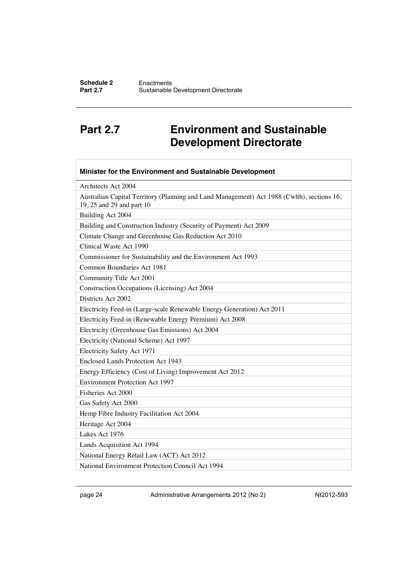## <span id="page-26-0"></span>**Part 2.7 Environment and Sustainable Development Directorate**

| Minister for the Environment and Sustainable Development                                                                |
|-------------------------------------------------------------------------------------------------------------------------|
| Architects Act 2004                                                                                                     |
| Australian Capital Territory (Planning and Land Management) Act 1988 (Cwlth), sections 16,<br>19, 25 and 29 and part 10 |
| Building Act 2004                                                                                                       |
| Building and Construction Industry (Security of Payment) Act 2009                                                       |
| Climate Change and Greenhouse Gas Reduction Act 2010                                                                    |
| Clinical Waste Act 1990                                                                                                 |
| Commissioner for Sustainability and the Environment Act 1993                                                            |
| Common Boundaries Act 1981                                                                                              |
| Community Title Act 2001                                                                                                |
| Construction Occupations (Licensing) Act 2004                                                                           |
| Districts Act 2002                                                                                                      |
| Electricity Feed-in (Large-scale Renewable Energy Generation) Act 2011                                                  |
| Electricity Feed-in (Renewable Energy Premium) Act 2008                                                                 |
| Electricity (Greenhouse Gas Emissions) Act 2004                                                                         |
| Electricity (National Scheme) Act 1997                                                                                  |
| Electricity Safety Act 1971                                                                                             |
| Enclosed Lands Protection Act 1943                                                                                      |
| Energy Efficiency (Cost of Living) Improvement Act 2012                                                                 |
| <b>Environment Protection Act 1997</b>                                                                                  |
| Fisheries Act 2000                                                                                                      |
| Gas Safety Act 2000                                                                                                     |
| Hemp Fibre Industry Facilitation Act 2004                                                                               |
| Heritage Act 2004                                                                                                       |
| Lakes Act 1976                                                                                                          |
| Lands Acquisition Act 1994                                                                                              |
| National Energy Retail Law (ACT) Act 2012                                                                               |
| National Environment Protection Council Act 1994                                                                        |

page 24 Administrative Arrangements 2012 (No 2) NI2012-593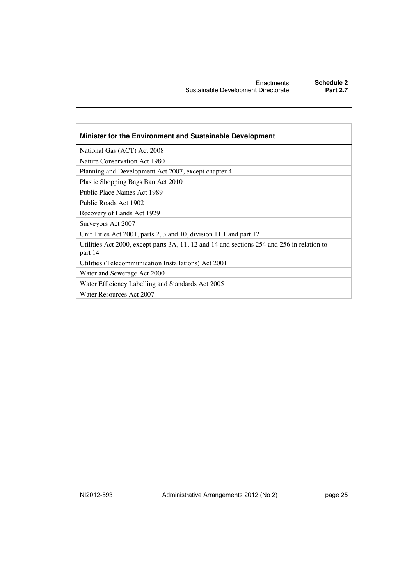| Minister for the Environment and Sustainable Development                                              |
|-------------------------------------------------------------------------------------------------------|
| National Gas (ACT) Act 2008                                                                           |
| Nature Conservation Act 1980                                                                          |
| Planning and Development Act 2007, except chapter 4                                                   |
| Plastic Shopping Bags Ban Act 2010                                                                    |
| Public Place Names Act 1989                                                                           |
| Public Roads Act 1902                                                                                 |
| Recovery of Lands Act 1929                                                                            |
| Surveyors Act 2007                                                                                    |
| Unit Titles Act 2001, parts 2, 3 and 10, division 11.1 and part 12                                    |
| Utilities Act 2000, except parts 3A, 11, 12 and 14 and sections 254 and 256 in relation to<br>part 14 |
| Utilities (Telecommunication Installations) Act 2001                                                  |
| Water and Sewerage Act 2000                                                                           |
| Water Efficiency Labelling and Standards Act 2005                                                     |
| Water Resources Act 2007                                                                              |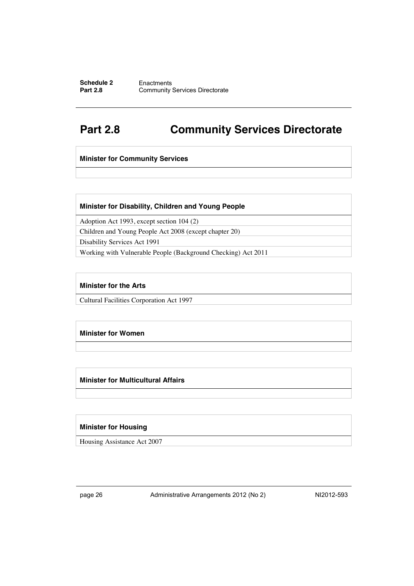#### **Schedule 2** Enactments<br>**Part 2.8** Community **Community Services Directorate**

## <span id="page-28-0"></span>**Part 2.8 Community Services Directorate**

**Minister for Community Services**

#### **Minister for Disability, Children and Young People**

Adoption Act 1993, except section 104 (2)

Children and Young People Act 2008 (except chapter 20)

Disability Services Act 1991

Working with Vulnerable People (Background Checking) Act 2011

#### **Minister for the Arts**

Cultural Facilities Corporation Act 1997

#### **Minister for Women**

#### **Minister for Multicultural Affairs**

#### **Minister for Housing**

Housing Assistance Act 2007

page 26 Administrative Arrangements 2012 (No 2) NI2012-593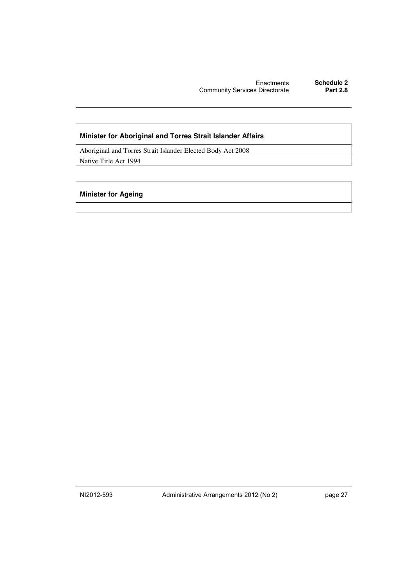Enactments **Schedule 2 Community Services Directorate** 

#### **Minister for Aboriginal and Torres Strait Islander Affairs**

Aboriginal and Torres Strait Islander Elected Body Act 2008 Native Title Act 1994

#### **Minister for Ageing**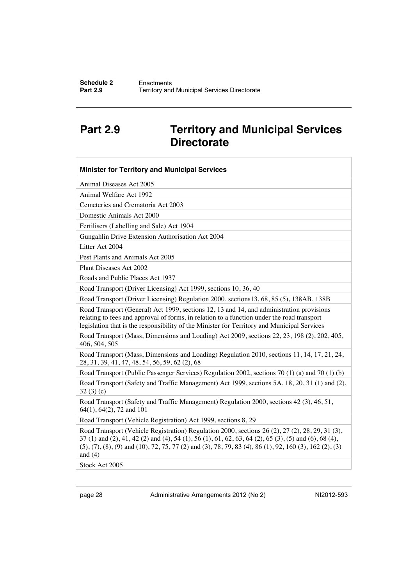## <span id="page-30-0"></span>**Part 2.9 Territory and Municipal Services Directorate**

| <b>Minister for Territory and Municipal Services</b>                                                                                                                                                                                                                                                                                                                                                                        |
|-----------------------------------------------------------------------------------------------------------------------------------------------------------------------------------------------------------------------------------------------------------------------------------------------------------------------------------------------------------------------------------------------------------------------------|
| Animal Diseases Act 2005                                                                                                                                                                                                                                                                                                                                                                                                    |
| Animal Welfare Act 1992                                                                                                                                                                                                                                                                                                                                                                                                     |
| Cemeteries and Crematoria Act 2003                                                                                                                                                                                                                                                                                                                                                                                          |
| Domestic Animals Act 2000                                                                                                                                                                                                                                                                                                                                                                                                   |
| Fertilisers (Labelling and Sale) Act 1904                                                                                                                                                                                                                                                                                                                                                                                   |
| Gungahlin Drive Extension Authorisation Act 2004                                                                                                                                                                                                                                                                                                                                                                            |
| Litter Act 2004                                                                                                                                                                                                                                                                                                                                                                                                             |
| Pest Plants and Animals Act 2005                                                                                                                                                                                                                                                                                                                                                                                            |
| Plant Diseases Act 2002                                                                                                                                                                                                                                                                                                                                                                                                     |
| Roads and Public Places Act 1937                                                                                                                                                                                                                                                                                                                                                                                            |
| Road Transport (Driver Licensing) Act 1999, sections 10, 36, 40                                                                                                                                                                                                                                                                                                                                                             |
| Road Transport (Driver Licensing) Regulation 2000, sections 13, 68, 85 (5), 138AB, 138B                                                                                                                                                                                                                                                                                                                                     |
| Road Transport (General) Act 1999, sections 12, 13 and 14, and administration provisions<br>relating to fees and approval of forms, in relation to a function under the road transport<br>legislation that is the responsibility of the Minister for Territory and Municipal Services                                                                                                                                       |
| Road Transport (Mass, Dimensions and Loading) Act 2009, sections 22, 23, 198 (2), 202, 405,<br>406, 504, 505                                                                                                                                                                                                                                                                                                                |
| Road Transport (Mass, Dimensions and Loading) Regulation 2010, sections 11, 14, 17, 21, 24,<br>28, 31, 39, 41, 47, 48, 54, 56, 59, 62 (2), 68                                                                                                                                                                                                                                                                               |
| Road Transport (Public Passenger Services) Regulation 2002, sections 70 (1) (a) and 70 (1) (b)                                                                                                                                                                                                                                                                                                                              |
| Road Transport (Safety and Traffic Management) Act 1999, sections 5A, 18, 20, 31 (1) and (2),<br>32(3)(c)                                                                                                                                                                                                                                                                                                                   |
| Road Transport (Safety and Traffic Management) Regulation 2000, sections 42 (3), 46, 51,<br>64(1), 64(2), 72 and 101                                                                                                                                                                                                                                                                                                        |
| Road Transport (Vehicle Registration) Act 1999, sections 8, 29                                                                                                                                                                                                                                                                                                                                                              |
| Road Transport (Vehicle Registration) Regulation 2000, sections 26 (2), 27 (2), 28, 29, 31 (3),<br>$37(1)$ and $(2)$ , $41$ , $42(2)$ and $(4)$ , $54(1)$ , $56(1)$ , $61$ , $62$ , $63$ , $64(2)$ , $65(3)$ , $(5)$ and $(6)$ , $68(4)$ ,<br>$(5)$ , $(7)$ , $(8)$ , $(9)$ and $(10)$ , $72$ , $75$ , $77$ $(2)$ and $(3)$ , $78$ , $79$ , $83$ $(4)$ , $86$ $(1)$ , $92$ , $160$ $(3)$ , $162$ $(2)$ , $(3)$<br>and $(4)$ |
|                                                                                                                                                                                                                                                                                                                                                                                                                             |

Stock Act 2005

page 28 Administrative Arrangements 2012 (No 2) NI2012-593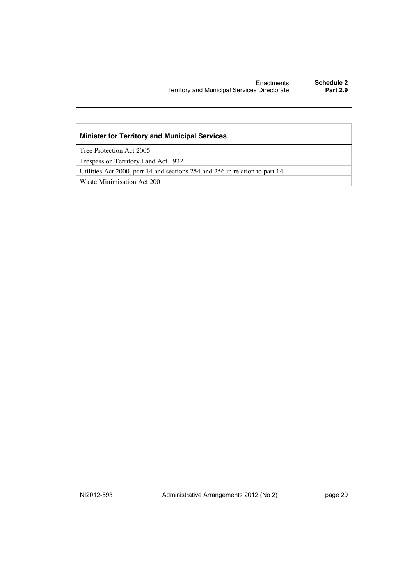#### **Minister for Territory and Municipal Services**

Tree Protection Act 2005

Trespass on Territory Land Act 1932

Utilities Act 2000, part 14 and sections 254 and 256 in relation to part 14

Waste Minimisation Act 2001